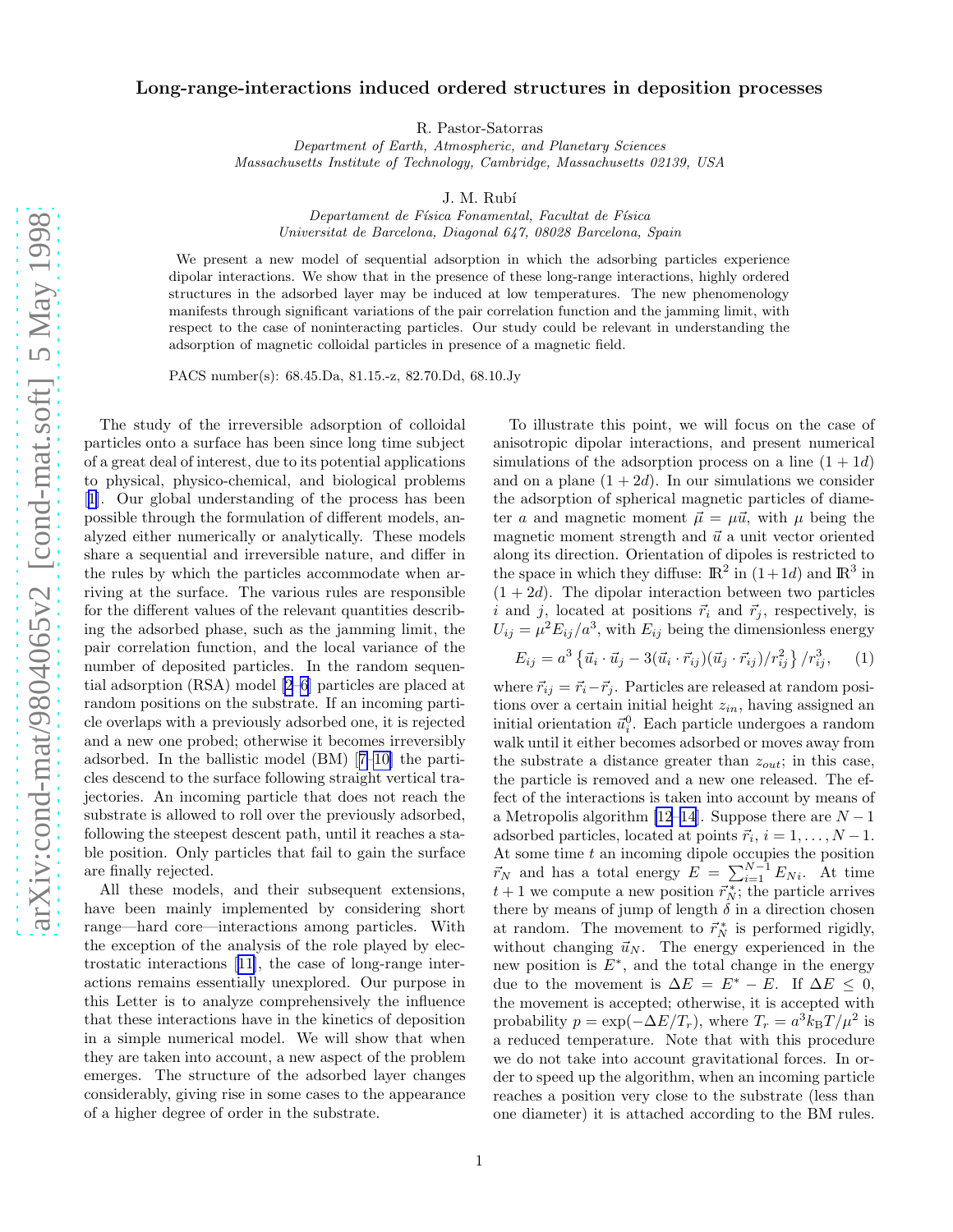## <span id="page-0-0"></span>Long-range-interactions induced ordered structures in deposition processes

R. Pastor-Satorras

Department of Earth, Atmospheric, and Planetary Sciences Massachusetts Institute of Technology, Cambridge, Massachusetts 02139, USA

J. M. Rubí

Departament de Física Fonamental, Facultat de Física Universitat de Barcelona, Diagonal 647, 08028 Barcelona, Spain

We present a new model of sequential adsorption in which the adsorbing particles experience dipolar interactions. We show that in the presence of these long-range interactions, highly ordered structures in the adsorbed layer may be induced at low temperatures. The new phenomenology manifests through significant variations of the pair correlation function and the jamming limit, with respect to the case of noninteracting particles. Our study could be relevant in understanding the adsorption of magnetic colloidal particles in presence of a magnetic field.

PACS number(s): 68.45.Da, 81.15.-z, 82.70.Dd, 68.10.Jy

The study of the irreversible adsorption of colloidal particles onto a surface has been since long time subject of a great deal of interest, due to its potential applications to physical, physico-chemical, and biological problems [[1\]](#page-3-0). Our global understanding of the process has been possible through the formulation of different models, analyzed either numerically or analytically. These models share a sequential and irreversible nature, and differ in the rules by which the particles accommodate when arriving at the surface. The various rules are responsible for the different values of the relevant quantities describing the adsorbed phase, such as the jamming limit, the pair correlation function, and the local variance of the number of deposited particles. In the random sequential adsorption (RSA) model [\[2–6](#page-3-0)] particles are placed at random positions on the substrate. If an incoming particle overlaps with a previously adsorbed one, it is rejected and a new one probed; otherwise it becomes irreversibly adsorbed. In the ballistic model (BM)[[7–10\]](#page-3-0) the particles descend to the surface following straight vertical trajectories. An incoming particle that does not reach the substrate is allowed to roll over the previously adsorbed, following the steepest descent path, until it reaches a stable position. Only particles that fail to gain the surface are finally rejected.

All these models, and their subsequent extensions, have been mainly implemented by considering short range—hard core—interactions among particles. With the exception of the analysis of the role played by electrostatic interactions[[11\]](#page-3-0), the case of long-range interactions remains essentially unexplored. Our purpose in this Letter is to analyze comprehensively the influence that these interactions have in the kinetics of deposition in a simple numerical model. We will show that when they are taken into account, a new aspect of the problem emerges. The structure of the adsorbed layer changes considerably, giving rise in some cases to the appearance of a higher degree of order in the substrate.

To illustrate this point, we will focus on the case of anisotropic dipolar interactions, and present numerical simulations of the adsorption process on a line  $(1 + 1d)$ and on a plane  $(1+2d)$ . In our simulations we consider the adsorption of spherical magnetic particles of diameter a and magnetic moment  $\vec{\mu} = \mu \vec{u}$ , with  $\mu$  being the magnetic moment strength and  $\vec{u}$  a unit vector oriented along its direction. Orientation of dipoles is restricted to the space in which they diffuse:  $\mathbb{R}^2$  in  $(1+1d)$  and  $\mathbb{R}^3$  in  $(1 + 2d)$ . The dipolar interaction between two particles i and j, located at positions  $\vec{r}_i$  and  $\vec{r}_j$ , respectively, is  $U_{ij} = \mu^2 E_{ij} / a^3$ , with  $E_{ij}$  being the dimensionless energy

$$
E_{ij} = a^3 \left\{ \vec{u}_i \cdot \vec{u}_j - 3(\vec{u}_i \cdot \vec{r}_{ij}) (\vec{u}_j \cdot \vec{r}_{ij}) / r_{ij}^2 \right\} / r_{ij}^3, \quad (1)
$$

where  $\vec{r}_{ij} = \vec{r}_i - \vec{r}_j$ . Particles are released at random positions over a certain initial height  $z_{in}$ , having assigned an initial orientation  $\vec{u}_i^0$ . Each particle undergoes a random walk until it either becomes adsorbed or moves away from the substrate a distance greater than  $z_{out}$ ; in this case, the particle is removed and a new one released. The effect of the interactions is taken into account by means of a Metropolis algorithm [\[12–14](#page-3-0)]. Suppose there are  $N-1$ adsorbed particles, located at points  $\vec{r}_i, i = 1, \ldots, N-1$ . At some time  $t$  an incoming dipole occupies the position  $\vec{r}_N$  and has a total energy  $E = \sum_{i=1}^{N-1} E_{Ni}$ . At time  $t + 1$  we compute a new position  $\vec{r}_{N}^*$ ; the particle arrives there by means of jump of length  $\delta$  in a direction chosen at random. The movement to  $\vec{r}_N^*$  is performed rigidly, without changing  $\vec{u}_N$ . The energy experienced in the new position is  $E^*$ , and the total change in the energy due to the movement is  $\Delta E = E^* - E$ . If  $\Delta E \leq 0$ , the movement is accepted; otherwise, it is accepted with probability  $p = \exp(-\Delta E/T_r)$ , where  $T_r = a^3 \overline{k}_B T / \mu^2$  is a reduced temperature. Note that with this procedure we do not take into account gravitational forces. In order to speed up the algorithm, when an incoming particle reaches a position very close to the substrate (less than one diameter) it is attached according to the BM rules.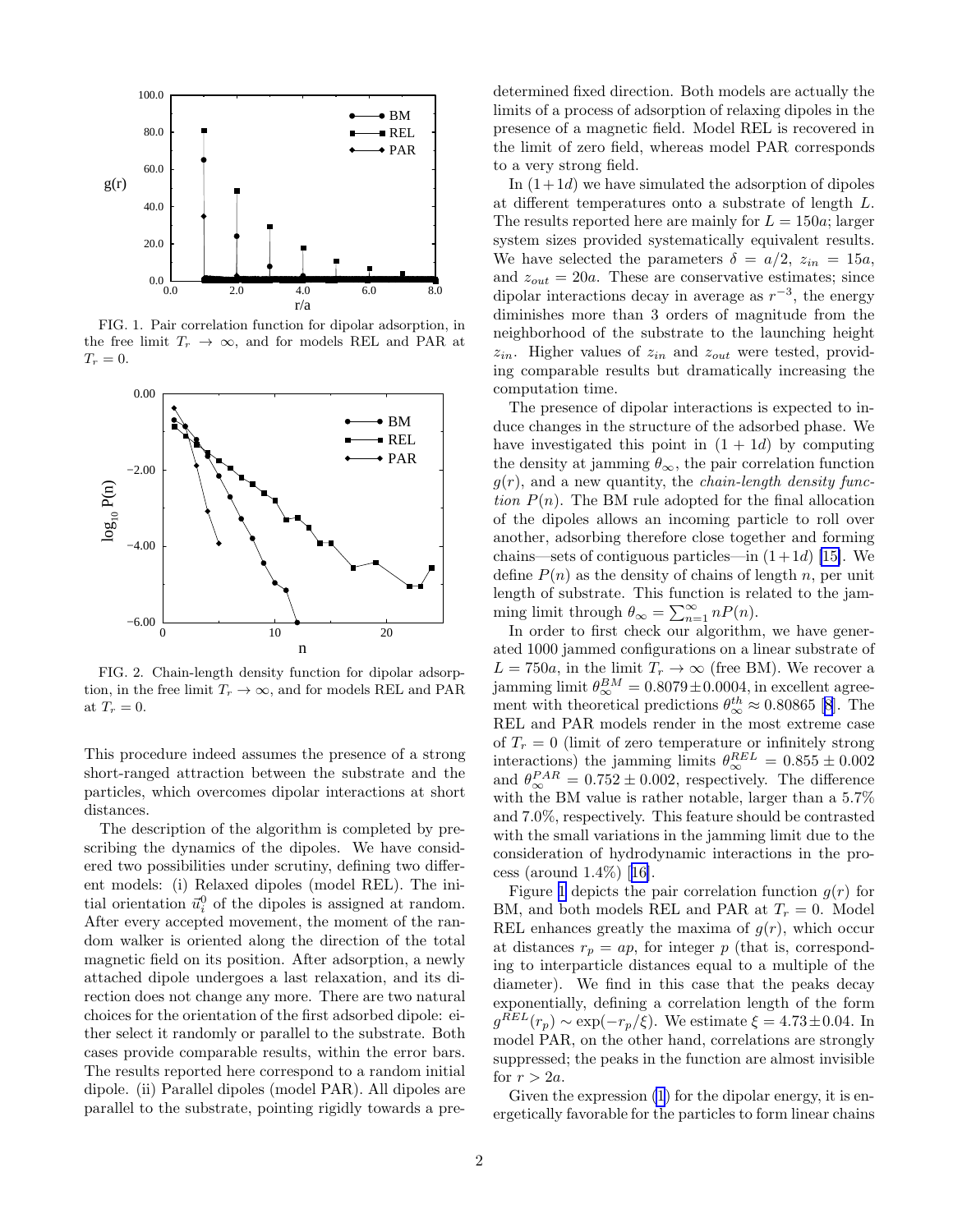<span id="page-1-0"></span>

FIG. 1. Pair correlation function for dipolar adsorption, in the free limit  $T_r \rightarrow \infty$ , and for models REL and PAR at  $T_r = 0.$ 



FIG. 2. Chain-length density function for dipolar adsorption, in the free limit  $T_r \to \infty$ , and for models REL and PAR at  $T_r = 0$ .

This procedure indeed assumes the presence of a strong short-ranged attraction between the substrate and the particles, which overcomes dipolar interactions at short distances.

The description of the algorithm is completed by prescribing the dynamics of the dipoles. We have considered two possibilities under scrutiny, defining two different models: (i) Relaxed dipoles (model REL). The initial orientation  $\vec{u}_i^0$  of the dipoles is assigned at random. After every accepted movement, the moment of the random walker is oriented along the direction of the total magnetic field on its position. After adsorption, a newly attached dipole undergoes a last relaxation, and its direction does not change any more. There are two natural choices for the orientation of the first adsorbed dipole: either select it randomly or parallel to the substrate. Both cases provide comparable results, within the error bars. The results reported here correspond to a random initial dipole. (ii) Parallel dipoles (model PAR). All dipoles are parallel to the substrate, pointing rigidly towards a predetermined fixed direction. Both models are actually the limits of a process of adsorption of relaxing dipoles in the presence of a magnetic field. Model REL is recovered in the limit of zero field, whereas model PAR corresponds to a very strong field.

In  $(1+1d)$  we have simulated the adsorption of dipoles at different temperatures onto a substrate of length L. The results reported here are mainly for  $L = 150a$ ; larger system sizes provided systematically equivalent results. We have selected the parameters  $\delta = a/2$ ,  $z_{in} = 15a$ , and  $z_{out} = 20a$ . These are conservative estimates; since dipolar interactions decay in average as  $r^{-3}$ , the energy diminishes more than 3 orders of magnitude from the neighborhood of the substrate to the launching height  $z_{in}$ . Higher values of  $z_{in}$  and  $z_{out}$  were tested, providing comparable results but dramatically increasing the computation time.

The presence of dipolar interactions is expected to induce changes in the structure of the adsorbed phase. We have investigated this point in  $(1 + 1d)$  by computing the density at jamming  $\theta_{\infty}$ , the pair correlation function  $g(r)$ , and a new quantity, the *chain-length density func*tion  $P(n)$ . The BM rule adopted for the final allocation of the dipoles allows an incoming particle to roll over another, adsorbing therefore close together and forming chains—sets of contiguous particles—in  $(1+1d)$  [\[15\]](#page-3-0). We define  $P(n)$  as the density of chains of length n, per unit length of substrate. This function is related to the jamming limit through  $\theta_{\infty} = \sum_{n=1}^{\infty} n P(n)$ .

In order to first check our algorithm, we have generated 1000 jammed configurations on a linear substrate of  $L = 750a$ , in the limit  $T_r \to \infty$  (free BM). We recover a jamming limit  $\theta_{\infty}^{BM} = 0.8079 \pm 0.0004$ , in excellent agreement with theoretical predictions  $\theta_{\infty}^{th} \approx 0.80865$  [\[8](#page-3-0)]. The REL and PAR models render in the most extreme case of  $T_r = 0$  (limit of zero temperature or infinitely strong interactions) the jamming limits  $\theta_{\infty}^{REL} = 0.855 \pm 0.002$ and  $\theta_{\infty}^{PAR} = 0.752 \pm 0.002$ , respectively. The difference with the BM value is rather notable, larger than a 5.7% and 7.0%, respectively. This feature should be contrasted with the small variations in the jamming limit due to the consideration of hydrodynamic interactions in the process (around 1.4%)[[16\]](#page-3-0).

Figure 1 depicts the pair correlation function  $g(r)$  for BM, and both models REL and PAR at  $T_r = 0$ . Model REL enhances greatly the maxima of  $g(r)$ , which occur at distances  $r_p = ap$ , for integer p (that is, corresponding to interparticle distances equal to a multiple of the diameter). We find in this case that the peaks decay exponentially, defining a correlation length of the form  $g^{REL}(r_p) \sim \exp(-r_p/\xi)$ . We estimate  $\xi = 4.73 \pm 0.04$ . In model PAR, on the other hand, correlations are strongly suppressed; the peaks in the function are almost invisible for  $r > 2a$ .

Given the expression  $(1)$  for the dipolar energy, it is energetically favorable for the particles to form linear chains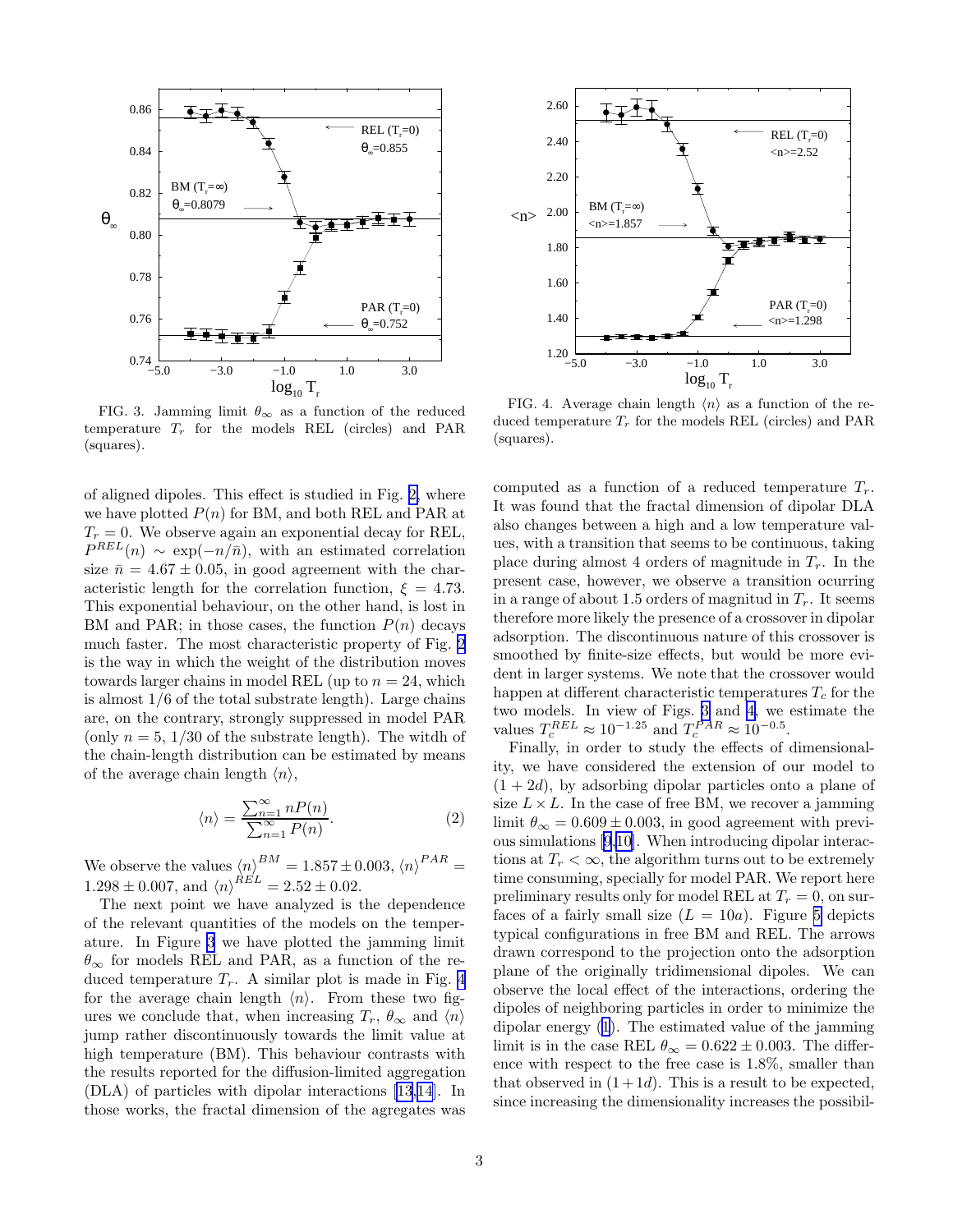

FIG. 3. Jamming limit  $\theta_{\infty}$  as a function of the reduced temperature  $T_r$  for the models REL (circles) and PAR (squares).

of aligned dipoles. This effect is studied in Fig. [2,](#page-1-0) where we have plotted  $P(n)$  for BM, and both REL and PAR at  $T_r = 0$ . We observe again an exponential decay for REL,  $P^{REL}(n) \sim \exp(-n/\bar{n})$ , with an estimated correlation size  $\bar{n} = 4.67 \pm 0.05$ , in good agreement with the characteristic length for the correlation function,  $\xi = 4.73$ . This exponential behaviour, on the other hand, is lost in BM and PAR; in those cases, the function  $P(n)$  decays much faster. The most characteristic property of Fig. [2](#page-1-0) is the way in which the weight of the distribution moves towards larger chains in model REL (up to  $n = 24$ , which is almost 1/6 of the total substrate length). Large chains are, on the contrary, strongly suppressed in model PAR (only  $n = 5, 1/30$  of the substrate length). The witch of the chain-length distribution can be estimated by means of the average chain length  $\langle n \rangle$ ,

$$
\langle n \rangle = \frac{\sum_{n=1}^{\infty} n P(n)}{\sum_{n=1}^{\infty} P(n)}.
$$
 (2)

We observe the values  $\langle n \rangle^{BM} = 1.857 \pm 0.003, \langle n \rangle^{PAR} =$  $1.298 \pm 0.007$ , and  $\langle n \rangle^{REL} = 2.52 \pm 0.02$ .

The next point we have analyzed is the dependence of the relevant quantities of the models on the temperature. In Figure 3 we have plotted the jamming limit  $\theta_{\infty}$  for models REL and PAR, as a function of the reduced temperature  $T_r$ . A similar plot is made in Fig. 4 for the average chain length  $\langle n \rangle$ . From these two figures we conclude that, when increasing  $T_r$ ,  $\theta_{\infty}$  and  $\langle n \rangle$ jump rather discontinuously towards the limit value at high temperature (BM). This behaviour contrasts with the results reported for the diffusion-limited aggregation (DLA) of particles with dipolar interactions [\[13,14](#page-3-0)]. In those works, the fractal dimension of the agregates was



FIG. 4. Average chain length  $\langle n \rangle$  as a function of the reduced temperature  $T_r$  for the models REL (circles) and PAR (squares).

computed as a function of a reduced temperature  $T_r$ . It was found that the fractal dimension of dipolar DLA also changes between a high and a low temperature values, with a transition that seems to be continuous, taking place during almost 4 orders of magnitude in  $T_r$ . In the present case, however, we observe a transition ocurring in a range of about 1.5 orders of magnitud in  $T_r$ . It seems therefore more likely the presence of a crossover in dipolar adsorption. The discontinuous nature of this crossover is smoothed by finite-size effects, but would be more evident in larger systems. We note that the crossover would happen at different characteristic temperatures  $T_c$  for the two models. In view of Figs. 3 and 4, we estimate the values  $T_c^{REL} \approx 10^{-1.25}$  and  $T_c^{PAR} \approx 10^{-0.5}$ .

Finally, in order to study the effects of dimensionality, we have considered the extension of our model to  $(1 + 2d)$ , by adsorbing dipolar particles onto a plane of size  $L \times L$ . In the case of free BM, we recover a jamming limit  $\theta_{\infty} = 0.609 \pm 0.003$ , in good agreement with previous simulations [\[9](#page-3-0),[10](#page-3-0)]. When introducing dipolar interactions at  $T_r < \infty$ , the algorithm turns out to be extremely time consuming, specially for model PAR. We report here preliminary results only for model REL at  $T_r = 0$ , on surfaces of a fairly small size  $(L = 10a)$ . Figure [5](#page-3-0) depicts typical configurations in free BM and REL. The arrows drawn correspond to the projection onto the adsorption plane of the originally tridimensional dipoles. We can observe the local effect of the interactions, ordering the dipoles of neighboring particles in order to minimize the dipolar energy [\(1](#page-0-0)). The estimated value of the jamming limit is in the case REL  $\theta_{\infty} = 0.622 \pm 0.003$ . The difference with respect to the free case is 1.8%, smaller than that observed in  $(1+1d)$ . This is a result to be expected, since increasing the dimensionality increases the possibil-